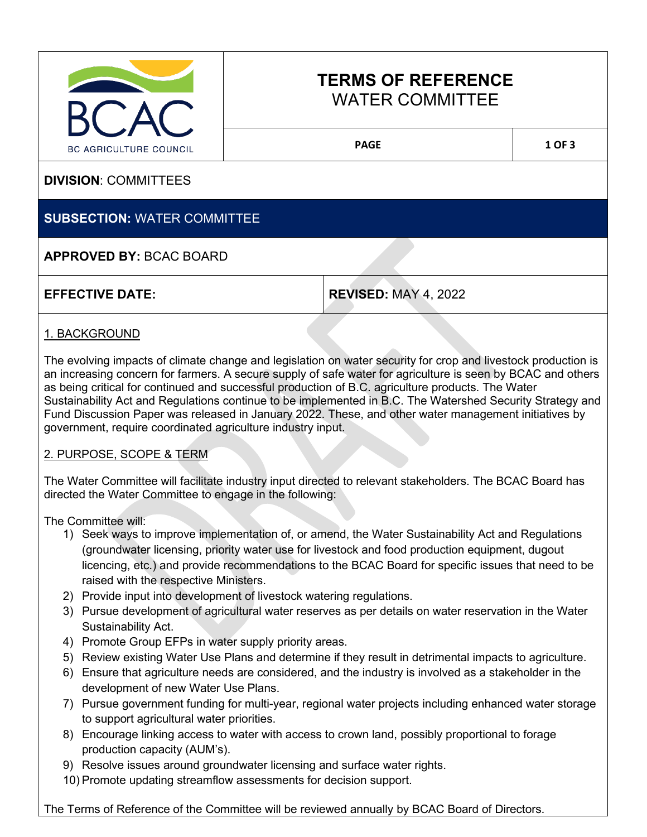

# **TERMS OF REFERENCE** WATER COMMITTEE

PAGE 1 OF 3

**DIVISION**: COMMITTEES

## **SUBSECTION:** WATER COMMITTEE

## **APPROVED BY:** BCAC BOARD

**REVISED: MAY 4, 2022** 

## 1. BACKGROUND

The evolving impacts of climate change and legislation on water security for crop and livestock production is an increasing concern for farmers. A secure supply of safe water for agriculture is seen by BCAC and others as being critical for continued and successful production of B.C. agriculture products. The Water Sustainability Act and Regulations continue to be implemented in B.C. The Watershed Security Strategy and Fund Discussion Paper was released in January 2022. These, and other water management initiatives by government, require coordinated agriculture industry input.

### 2. PURPOSE, SCOPE & TERM

The Water Committee will facilitate industry input directed to relevant stakeholders. The BCAC Board has directed the Water Committee to engage in the following:

The Committee will:

- 1) Seek ways to improve implementation of, or amend, the Water Sustainability Act and Regulations (groundwater licensing, priority water use for livestock and food production equipment, dugout licencing, etc.) and provide recommendations to the BCAC Board for specific issues that need to be raised with the respective Ministers.
- 2) Provide input into development of livestock watering regulations.
- 3) Pursue development of agricultural water reserves as per details on water reservation in the Water Sustainability Act.
- 4) Promote Group EFPs in water supply priority areas.
- 5) Review existing Water Use Plans and determine if they result in detrimental impacts to agriculture.
- 6) Ensure that agriculture needs are considered, and the industry is involved as a stakeholder in the development of new Water Use Plans.
- 7) Pursue government funding for multi-year, regional water projects including enhanced water storage to support agricultural water priorities.
- 8) Encourage linking access to water with access to crown land, possibly proportional to forage production capacity (AUM's).
- 9) Resolve issues around groundwater licensing and surface water rights.
- 10) Promote updating streamflow assessments for decision support.

The Terms of Reference of the Committee will be reviewed annually by BCAC Board of Directors.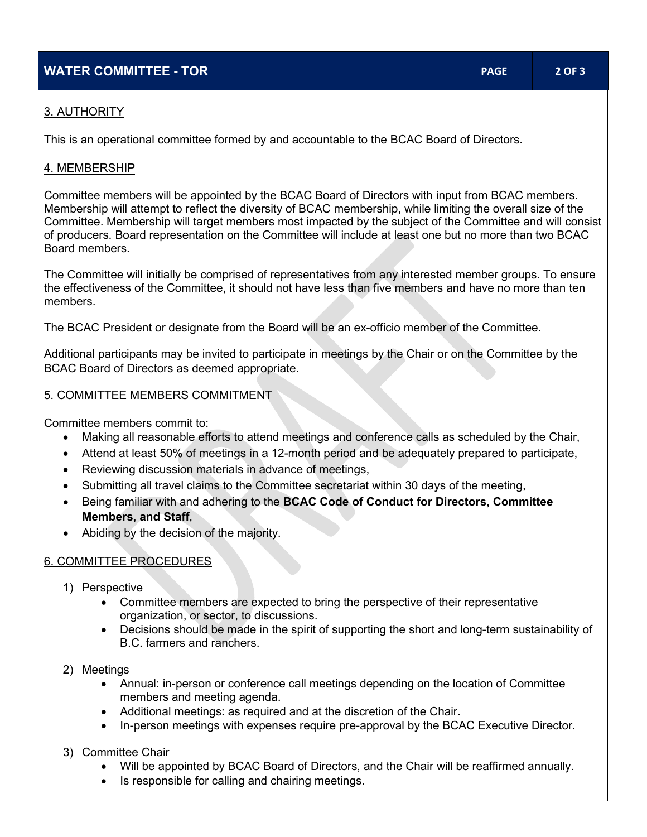## **WATER COMMITTEE - TOR PAGE 2 OF 3**

## 3. AUTHORITY

This is an operational committee formed by and accountable to the BCAC Board of Directors.

#### 4. MEMBERSHIP

Committee members will be appointed by the BCAC Board of Directors with input from BCAC members. Membership will attempt to reflect the diversity of BCAC membership, while limiting the overall size of the Committee. Membership will target members most impacted by the subject of the Committee and will consist of producers. Board representation on the Committee will include at least one but no more than two BCAC Board members.

The Committee will initially be comprised of representatives from any interested member groups. To ensure the effectiveness of the Committee, it should not have less than five members and have no more than ten members.

The BCAC President or designate from the Board will be an ex-officio member of the Committee.

Additional participants may be invited to participate in meetings by the Chair or on the Committee by the BCAC Board of Directors as deemed appropriate.

### 5. COMMITTEE MEMBERS COMMITMENT

Committee members commit to:

- Making all reasonable efforts to attend meetings and conference calls as scheduled by the Chair,
- Attend at least 50% of meetings in a 12-month period and be adequately prepared to participate,
- Reviewing discussion materials in advance of meetings,
- Submitting all travel claims to the Committee secretariat within 30 days of the meeting,
- Being familiar with and adhering to the **BCAC Code of Conduct for Directors, Committee Members, and Staff**,
- Abiding by the decision of the majority.

### 6. COMMITTEE PROCEDURES

- 1) Perspective
	- Committee members are expected to bring the perspective of their representative organization, or sector, to discussions.
	- Decisions should be made in the spirit of supporting the short and long-term sustainability of B.C. farmers and ranchers.
- 2) Meetings
	- Annual: in-person or conference call meetings depending on the location of Committee members and meeting agenda.
	- Additional meetings: as required and at the discretion of the Chair.
	- In-person meetings with expenses require pre-approval by the BCAC Executive Director.

### 3) Committee Chair

- Will be appointed by BCAC Board of Directors, and the Chair will be reaffirmed annually.
- Is responsible for calling and chairing meetings.